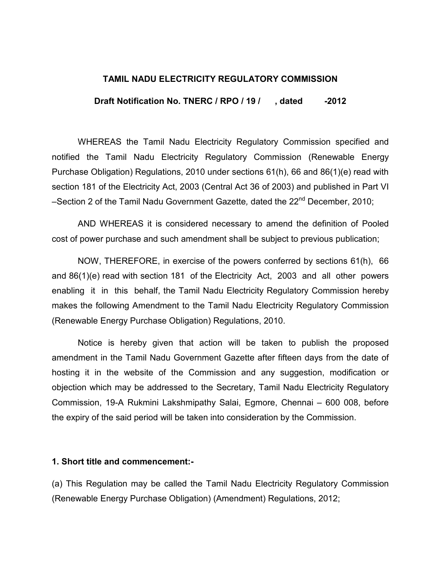## TAMIL NADU ELECTRICITY REGULATORY COMMISSION

Draft Notification No. TNERC / RPO / 19 / , dated -2012

WHEREAS the Tamil Nadu Electricity Regulatory Commission specified and notified the Tamil Nadu Electricity Regulatory Commission (Renewable Energy Purchase Obligation) Regulations, 2010 under sections 61(h), 66 and 86(1)(e) read with section 181 of the Electricity Act, 2003 (Central Act 36 of 2003) and published in Part VI –Section 2 of the Tamil Nadu Government Gazette, dated the 22<sup>nd</sup> December, 2010;

AND WHEREAS it is considered necessary to amend the definition of Pooled cost of power purchase and such amendment shall be subject to previous publication;

NOW, THEREFORE, in exercise of the powers conferred by sections 61(h), 66 and 86(1)(e) read with section 181 of the Electricity Act, 2003 and all other powers enabling it in this behalf, the Tamil Nadu Electricity Regulatory Commission hereby makes the following Amendment to the Tamil Nadu Electricity Regulatory Commission (Renewable Energy Purchase Obligation) Regulations, 2010.

Notice is hereby given that action will be taken to publish the proposed amendment in the Tamil Nadu Government Gazette after fifteen days from the date of hosting it in the website of the Commission and any suggestion, modification or objection which may be addressed to the Secretary, Tamil Nadu Electricity Regulatory Commission, 19-A Rukmini Lakshmipathy Salai, Egmore, Chennai – 600 008, before the expiry of the said period will be taken into consideration by the Commission.

## 1. Short title and commencement:-

(a) This Regulation may be called the Tamil Nadu Electricity Regulatory Commission (Renewable Energy Purchase Obligation) (Amendment) Regulations, 2012;